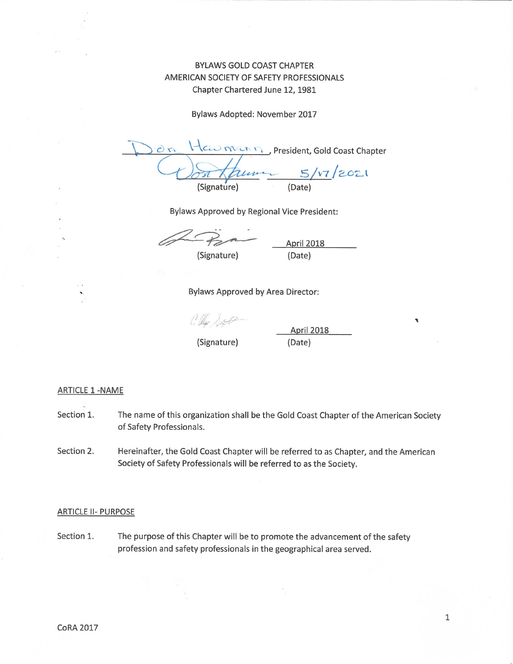# **BYLAWS GOLD COAST CHAPTER** AMERICAN SOCIETY OF SAFETY PROFESSIONALS Chapter Chartered June 12, 1981

Bylaws Adopted: November 2017

CLU men n President, Gold Coast Chapter Jun  $5/v7/2021$ (Signature) (Date)

Bylaws Approved by Regional Vice President:

(Signature)

April 2018 (Date)

Bylaws Approved by Area Director:

C. lla Doste

(Signature)

April 2018 (Date)

#### **ARTICLE 1 -NAME**

- Section 1. The name of this organization shall be the Gold Coast Chapter of the American Society of Safety Professionals.
- Hereinafter, the Gold Coast Chapter will be referred to as Chapter, and the American Section 2. Society of Safety Professionals will be referred to as the Society.

#### **ARTICLE II- PURPOSE**

Section 1. The purpose of this Chapter will be to promote the advancement of the safety profession and safety professionals in the geographical area served.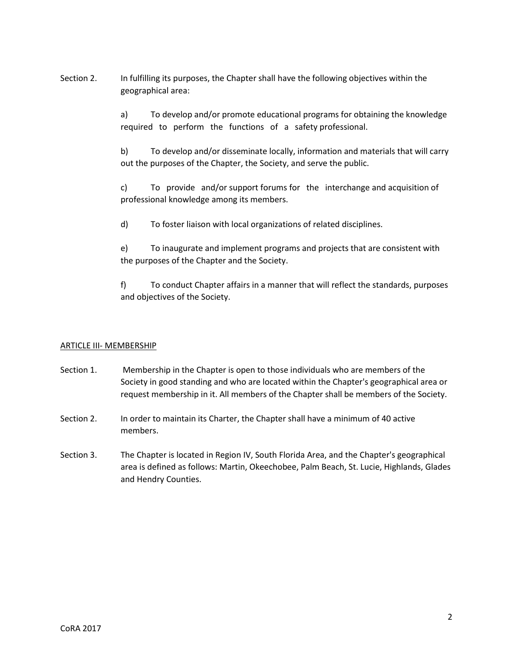Section 2. In fulfilling its purposes, the Chapter shall have the following objectives within the geographical area:

> a) To develop and/or promote educational programs for obtaining the knowledge required to perform the functions of a safety professional.

> b) To develop and/or disseminate locally, information and materials that will carry out the purposes of the Chapter, the Society, and serve the public.

c) To provide and/or support forums for the interchange and acquisition of professional knowledge among its members.

d) To foster liaison with local organizations of related disciplines.

e) To inaugurate and implement programs and projects that are consistent with the purposes of the Chapter and the Society.

f) To conduct Chapter affairs in a manner that will reflect the standards, purposes and objectives of the Society.

# ARTICLE III- MEMBERSHIP

- Section 1. Membership in the Chapter is open to those individuals who are members of the Society in good standing and who are located within the Chapter's geographical area or request membership in it. All members of the Chapter shall be members of the Society.
- Section 2. In order to maintain its Charter, the Chapter shall have a minimum of 40 active members.
- Section 3. The Chapter is located in Region IV, South Florida Area, and the Chapter's geographical area is defined as follows: Martin, Okeechobee, Palm Beach, St. Lucie, Highlands, Glades and Hendry Counties.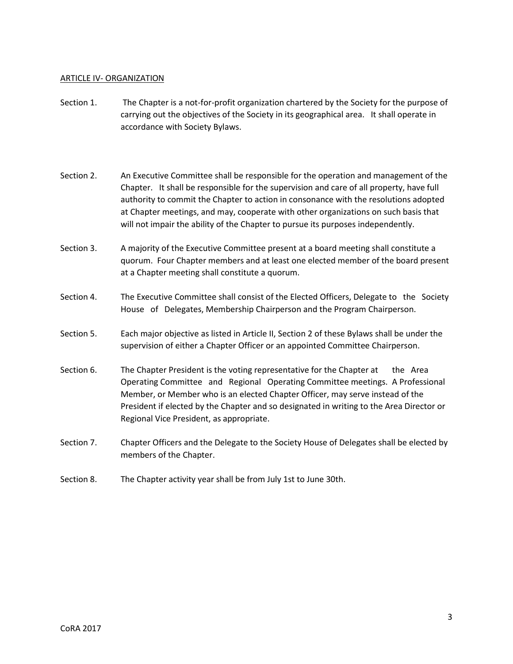## ARTICLE IV- ORGANIZATION

- Section 1. The Chapter is a not-for-profit organization chartered by the Society for the purpose of carrying out the objectives of the Society in its geographical area. It shall operate in accordance with Society Bylaws.
- Section 2. An Executive Committee shall be responsible for the operation and management of the Chapter. It shall be responsible for the supervision and care of all property, have full authority to commit the Chapter to action in consonance with the resolutions adopted at Chapter meetings, and may, cooperate with other organizations on such basis that will not impair the ability of the Chapter to pursue its purposes independently.
- Section 3. A majority of the Executive Committee present at a board meeting shall constitute a quorum. Four Chapter members and at least one elected member of the board present at a Chapter meeting shall constitute a quorum.
- Section 4. The Executive Committee shall consist of the Elected Officers, Delegate to the Society House of Delegates, Membership Chairperson and the Program Chairperson.
- Section 5. Each major objective as listed in Article II, Section 2 of these Bylaws shall be under the supervision of either a Chapter Officer or an appointed Committee Chairperson.
- Section 6. The Chapter President is the voting representative for the Chapter at the Area Operating Committee and Regional Operating Committee meetings. A Professional Member, or Member who is an elected Chapter Officer, may serve instead of the President if elected by the Chapter and so designated in writing to the Area Director or Regional Vice President, as appropriate.
- Section 7. Chapter Officers and the Delegate to the Society House of Delegates shall be elected by members of the Chapter.
- Section 8. The Chapter activity year shall be from July 1st to June 30th.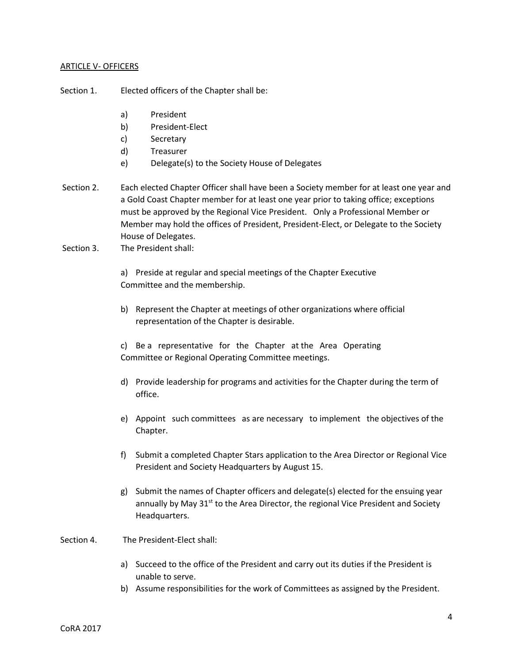## ARTICLE V- OFFICERS

Section 1. Elected officers of the Chapter shall be:

- a) President
- b) President-Elect
- c) Secretary
- d) Treasurer
- e) Delegate(s) to the Society House of Delegates
- Section 2. Each elected Chapter Officer shall have been a Society member for at least one year and a Gold Coast Chapter member for at least one year prior to taking office; exceptions must be approved by the Regional Vice President. Only a Professional Member or Member may hold the offices of President, President-Elect, or Delegate to the Society House of Delegates.
- Section 3. The President shall:

a) Preside at regular and special meetings of the Chapter Executive Committee and the membership.

b) Represent the Chapter at meetings of other organizations where official representation of the Chapter is desirable.

c) Be a representative for the Chapter at the Area Operating Committee or Regional Operating Committee meetings.

- d) Provide leadership for programs and activities for the Chapter during the term of office.
- e) Appoint such committees as are necessary to implement the objectives of the Chapter.
- f) Submit a completed Chapter Stars application to the Area Director or Regional Vice President and Society Headquarters by August 15.
- g) Submit the names of Chapter officers and delegate(s) elected for the ensuing year annually by May 31<sup>st</sup> to the Area Director, the regional Vice President and Society Headquarters.

Section 4. The President-Elect shall:

- a) Succeed to the office of the President and carry out its duties if the President is unable to serve.
- b) Assume responsibilities for the work of Committees as assigned by the President.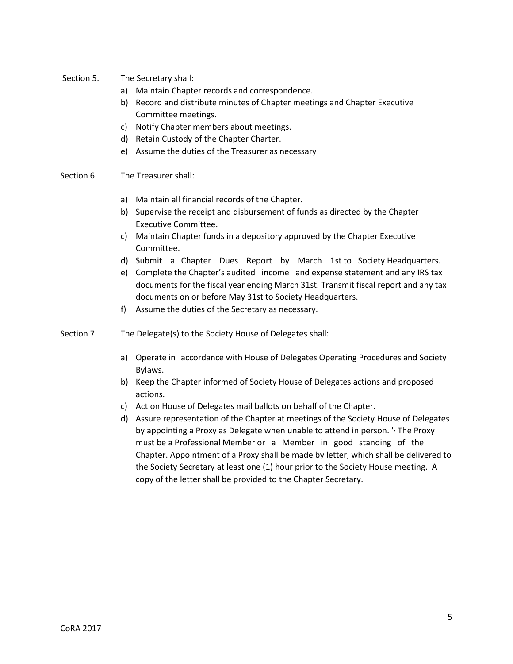- Section 5. The Secretary shall:
	- a) Maintain Chapter records and correspondence.
	- b) Record and distribute minutes of Chapter meetings and Chapter Executive Committee meetings.
	- c) Notify Chapter members about meetings.
	- d) Retain Custody of the Chapter Charter.
	- e) Assume the duties of the Treasurer as necessary
- Section 6. The Treasurer shall:
	- a) Maintain all financial records of the Chapter.
	- b) Supervise the receipt and disbursement of funds as directed by the Chapter Executive Committee.
	- c) Maintain Chapter funds in a depository approved by the Chapter Executive Committee.
	- d) Submit a Chapter Dues Report by March 1st to Society Headquarters.
	- e) Complete the Chapter's audited income and expense statement and any IRS tax documents for the fiscal year ending March 31st. Transmit fiscal report and any tax documents on or before May 31st to Society Headquarters.
	- f) Assume the duties of the Secretary as necessary.
- Section 7. The Delegate(s) to the Society House of Delegates shall:
	- a) Operate in accordance with House of Delegates Operating Procedures and Society Bylaws.
	- b) Keep the Chapter informed of Society House of Delegates actions and proposed actions.
	- c) Act on House of Delegates mail ballots on behalf of the Chapter.
	- d) Assure representation of the Chapter at meetings of the Society House of Delegates by appointing a Proxy as Delegate when unable to attend in person. '· The Proxy must be a Professional Member or a Member in good standing of the Chapter. Appointment of a Proxy shall be made by letter, which shall be delivered to the Society Secretary at least one (1) hour prior to the Society House meeting. A copy of the letter shall be provided to the Chapter Secretary.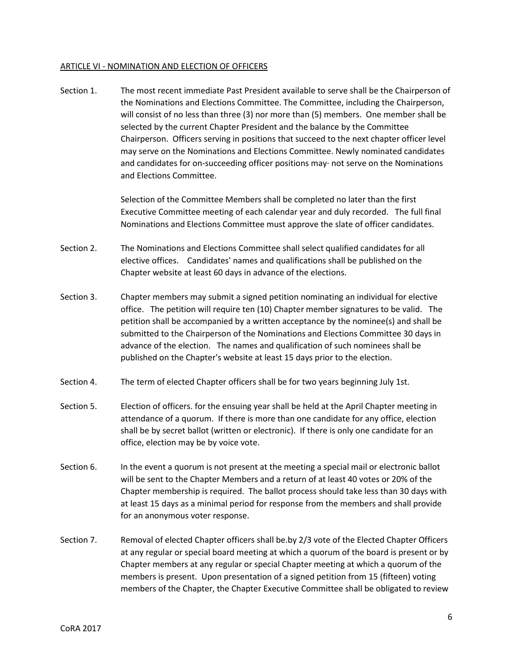#### ARTICLE VI - NOMINATION AND ELECTION OF OFFICERS

Section 1. The most recent immediate Past President available to serve shall be the Chairperson of the Nominations and Elections Committee. The Committee, including the Chairperson, will consist of no less than three (3) nor more than (5) members. One member shall be selected by the current Chapter President and the balance by the Committee Chairperson. Officers serving in positions that succeed to the next chapter officer level may serve on the Nominations and Elections Committee. Newly nominated candidates and candidates for on-succeeding officer positions may· not serve on the Nominations and Elections Committee.

> Selection of the Committee Members shall be completed no later than the first Executive Committee meeting of each calendar year and duly recorded. The full final Nominations and Elections Committee must approve the slate of officer candidates.

- Section 2. The Nominations and Elections Committee shall select qualified candidates for all elective offices. Candidates' names and qualifications shall be published on the Chapter website at least 60 days in advance of the elections.
- Section 3. Chapter members may submit a signed petition nominating an individual for elective office. The petition will require ten (10) Chapter member signatures to be valid. The petition shall be accompanied by a written acceptance by the nominee(s) and shall be submitted to the Chairperson of the Nominations and Elections Committee 30 days in advance of the election. The names and qualification of such nominees shall be published on the Chapter's website at least 15 days prior to the election.
- Section 4. The term of elected Chapter officers shall be for two years beginning July 1st.
- Section 5. Election of officers. for the ensuing year shall be held at the April Chapter meeting in attendance of a quorum. If there is more than one candidate for any office, election shall be by secret ballot (written or electronic). If there is only one candidate for an office, election may be by voice vote.
- Section 6. In the event a quorum is not present at the meeting a special mail or electronic ballot will be sent to the Chapter Members and a return of at least 40 votes or 20% of the Chapter membership is required. The ballot process should take less than 30 days with at least 15 days as a minimal period for response from the members and shall provide for an anonymous voter response.
- Section 7. Removal of elected Chapter officers shall be.by 2/3 vote of the Elected Chapter Officers at any regular or special board meeting at which a quorum of the board is present or by Chapter members at any regular or special Chapter meeting at which a quorum of the members is present. Upon presentation of a signed petition from 15 (fifteen) voting members of the Chapter, the Chapter Executive Committee shall be obligated to review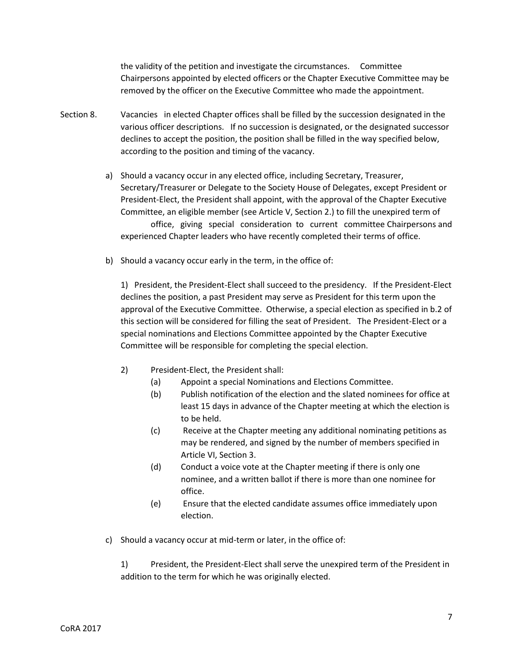the validity of the petition and investigate the circumstances. Committee Chairpersons appointed by elected officers or the Chapter Executive Committee may be removed by the officer on the Executive Committee who made the appointment.

- Section 8. Vacancies in elected Chapter offices shall be filled by the succession designated in the various officer descriptions. If no succession is designated, or the designated successor declines to accept the position, the position shall be filled in the way specified below, according to the position and timing of the vacancy.
	- a) Should a vacancy occur in any elected office, including Secretary, Treasurer, Secretary/Treasurer or Delegate to the Society House of Delegates, except President or President-Elect, the President shall appoint, with the approval of the Chapter Executive Committee, an eligible member (see Article V, Section 2.) to fill the unexpired term of office, giving special consideration to current committee Chairpersons and experienced Chapter leaders who have recently completed their terms of office.
	- b) Should a vacancy occur early in the term, in the office of:

1) President, the President-Elect shall succeed to the presidency. If the President-Elect declines the position, a past President may serve as President for this term upon the approval of the Executive Committee. Otherwise, a special election as specified in b.2 of this section will be considered for filling the seat of President. The President-Elect or a special nominations and Elections Committee appointed by the Chapter Executive Committee will be responsible for completing the special election.

- 2) President-Elect, the President shall:
	- (a) Appoint a special Nominations and Elections Committee.
	- (b) Publish notification of the election and the slated nominees for office at least 15 days in advance of the Chapter meeting at which the election is to be held.
	- (c) Receive at the Chapter meeting any additional nominating petitions as may be rendered, and signed by the number of members specified in Article VI, Section 3.
	- (d) Conduct a voice vote at the Chapter meeting if there is only one nominee, and a written ballot if there is more than one nominee for office.
	- (e) Ensure that the elected candidate assumes office immediately upon election.
- c) Should a vacancy occur at mid-term or later, in the office of:

1) President, the President-Elect shall serve the unexpired term of the President in addition to the term for which he was originally elected.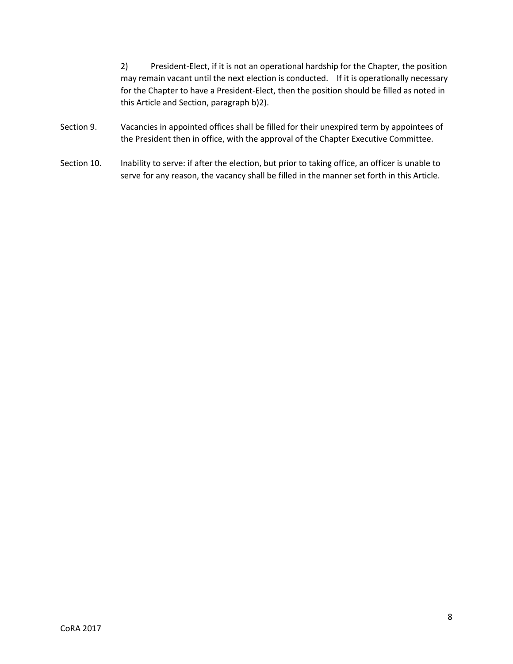2) President-Elect, if it is not an operational hardship for the Chapter, the position may remain vacant until the next election is conducted. If it is operationally necessary for the Chapter to have a President-Elect, then the position should be filled as noted in this Article and Section, paragraph b)2).

- Section 9. Vacancies in appointed offices shall be filled for their unexpired term by appointees of the President then in office, with the approval of the Chapter Executive Committee.
- Section 10. Inability to serve: if after the election, but prior to taking office, an officer is unable to serve for any reason, the vacancy shall be filled in the manner set forth in this Article.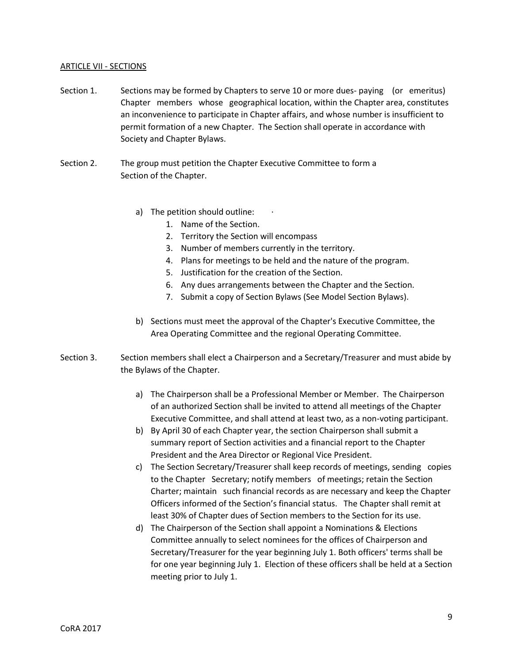## ARTICLE VII - SECTIONS

- Section 1. Sections may be formed by Chapters to serve 10 or more dues- paying (or emeritus) Chapter members whose geographical location, within the Chapter area, constitutes an inconvenience to participate in Chapter affairs, and whose number is insufficient to permit formation of a new Chapter. The Section shall operate in accordance with Society and Chapter Bylaws.
- Section 2. The group must petition the Chapter Executive Committee to form a Section of the Chapter.
	- a) The petition should outline:
		- 1. Name of the Section.
		- 2. Territory the Section will encompass
		- 3. Number of members currently in the territory.
		- 4. Plans for meetings to be held and the nature of the program.
		- 5. Justification for the creation of the Section.
		- 6. Any dues arrangements between the Chapter and the Section.
		- 7. Submit a copy of Section Bylaws (See Model Section Bylaws).
	- b) Sections must meet the approval of the Chapter's Executive Committee, the Area Operating Committee and the regional Operating Committee.
- Section 3. Section members shall elect a Chairperson and a Secretary/Treasurer and must abide by the Bylaws of the Chapter.
	- a) The Chairperson shall be a Professional Member or Member. The Chairperson of an authorized Section shall be invited to attend all meetings of the Chapter Executive Committee, and shall attend at least two, as a non-voting participant.
	- b) By April 30 of each Chapter year, the section Chairperson shall submit a summary report of Section activities and a financial report to the Chapter President and the Area Director or Regional Vice President.
	- c) The Section Secretary/Treasurer shall keep records of meetings, sending copies to the Chapter Secretary; notify members of meetings; retain the Section Charter; maintain such financial records as are necessary and keep the Chapter Officers informed of the Section's financial status. The Chapter shall remit at least 30% of Chapter dues of Section members to the Section for its use.
	- d) The Chairperson of the Section shall appoint a Nominations & Elections Committee annually to select nominees for the offices of Chairperson and Secretary/Treasurer for the year beginning July 1. Both officers' terms shall be for one year beginning July 1. Election of these officers shall be held at a Section meeting prior to July 1.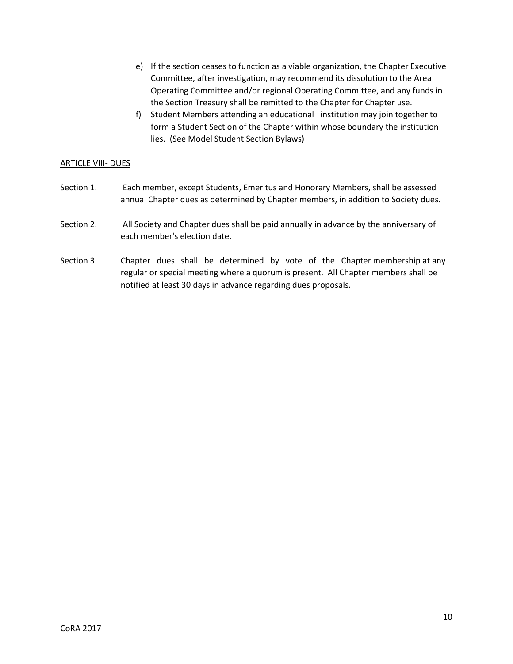- e) If the section ceases to function as a viable organization, the Chapter Executive Committee, after investigation, may recommend its dissolution to the Area Operating Committee and/or regional Operating Committee, and any funds in the Section Treasury shall be remitted to the Chapter for Chapter use.
- f) Student Members attending an educational institution may join together to form a Student Section of the Chapter within whose boundary the institution lies. (See Model Student Section Bylaws)

## ARTICLE VIII- DUES

- Section 1. Each member, except Students, Emeritus and Honorary Members, shall be assessed annual Chapter dues as determined by Chapter members, in addition to Society dues.
- Section 2. All Society and Chapter dues shall be paid annually in advance by the anniversary of each member's election date.
- Section 3. Chapter dues shall be determined by vote of the Chapter membership at any regular or special meeting where a quorum is present. All Chapter members shall be notified at least 30 days in advance regarding dues proposals.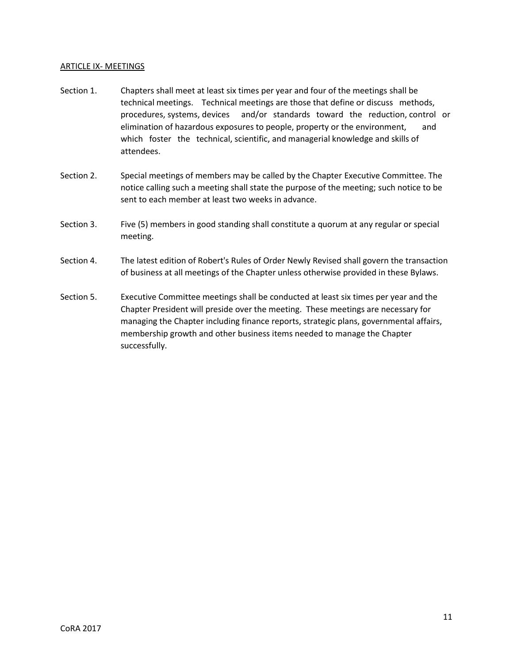# ARTICLE IX- MEETINGS

- Section 1. Chapters shall meet at least six times per year and four of the meetings shall be technical meetings. Technical meetings are those that define or discuss methods, procedures, systems, devices and/or standards toward the reduction, control or elimination of hazardous exposures to people, property or the environment, and which foster the technical, scientific, and managerial knowledge and skills of attendees.
- Section 2. Special meetings of members may be called by the Chapter Executive Committee. The notice calling such a meeting shall state the purpose of the meeting; such notice to be sent to each member at least two weeks in advance.
- Section 3. Five (5) members in good standing shall constitute a quorum at any regular or special meeting.
- Section 4. The latest edition of Robert's Rules of Order Newly Revised shall govern the transaction of business at all meetings of the Chapter unless otherwise provided in these Bylaws.
- Section 5. Executive Committee meetings shall be conducted at least six times per year and the Chapter President will preside over the meeting. These meetings are necessary for managing the Chapter including finance reports, strategic plans, governmental affairs, membership growth and other business items needed to manage the Chapter successfully.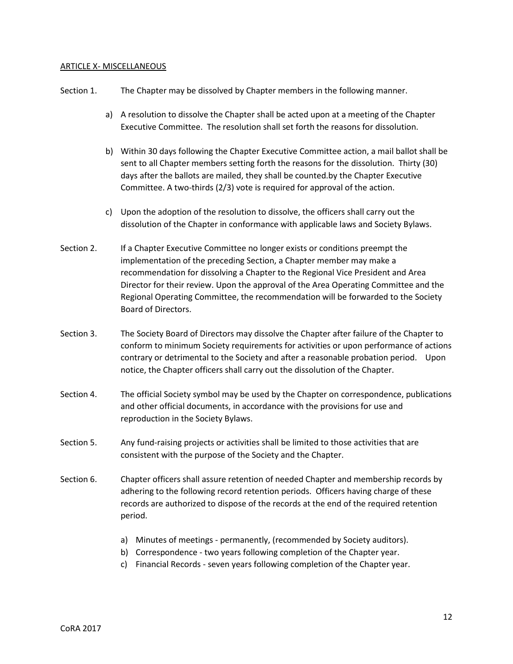#### ARTICLE X- MISCELLANEOUS

| Section 1. |    | The Chapter may be dissolved by Chapter members in the following manner.                                                                                                                                                                                                                                                                             |
|------------|----|------------------------------------------------------------------------------------------------------------------------------------------------------------------------------------------------------------------------------------------------------------------------------------------------------------------------------------------------------|
|            | a) | A resolution to dissolve the Chapter shall be acted upon at a meeting of the Chapter<br>Executive Committee. The resolution shall set forth the reasons for dissolution.                                                                                                                                                                             |
|            | b) | Within 30 days following the Chapter Executive Committee action, a mail ballot shall be<br>sent to all Chapter members setting forth the reasons for the dissolution. Thirty (30)<br>days after the ballots are mailed, they shall be counted by the Chapter Executive<br>Committee. A two-thirds (2/3) vote is required for approval of the action. |
|            | C) | Upon the adoption of the resolution to dissolve, the officers shall carry out the<br>dissolution of the Chapter in conformance with applicable laws and Society Bylaws.                                                                                                                                                                              |

- Section 2. If a Chapter Executive Committee no longer exists or conditions preempt the implementation of the preceding Section, a Chapter member may make a recommendation for dissolving a Chapter to the Regional Vice President and Area Director for their review. Upon the approval of the Area Operating Committee and the Regional Operating Committee, the recommendation will be forwarded to the Society Board of Directors.
- Section 3. The Society Board of Directors may dissolve the Chapter after failure of the Chapter to conform to minimum Society requirements for activities or upon performance of actions contrary or detrimental to the Society and after a reasonable probation period. Upon notice, the Chapter officers shall carry out the dissolution of the Chapter.
- Section 4. The official Society symbol may be used by the Chapter on correspondence, publications and other official documents, in accordance with the provisions for use and reproduction in the Society Bylaws.
- Section 5. Any fund-raising projects or activities shall be limited to those activities that are consistent with the purpose of the Society and the Chapter.
- Section 6. Chapter officers shall assure retention of needed Chapter and membership records by adhering to the following record retention periods. Officers having charge of these records are authorized to dispose of the records at the end of the required retention period.
	- a) Minutes of meetings permanently, (recommended by Society auditors).
	- b) Correspondence two years following completion of the Chapter year.
	- c) Financial Records seven years following completion of the Chapter year.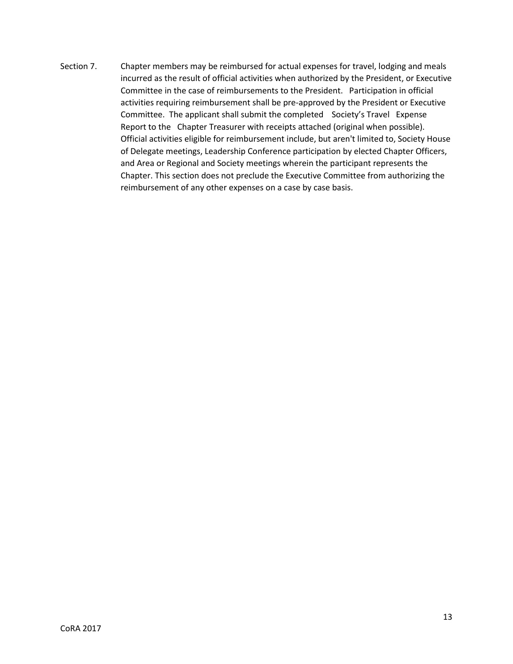Section 7. Chapter members may be reimbursed for actual expenses for travel, lodging and meals incurred as the result of official activities when authorized by the President, or Executive Committee in the case of reimbursements to the President. Participation in official activities requiring reimbursement shall be pre-approved by the President or Executive Committee. The applicant shall submit the completed Society's Travel Expense Report to the Chapter Treasurer with receipts attached (original when possible). Official activities eligible for reimbursement include, but aren't limited to, Society House of Delegate meetings, Leadership Conference participation by elected Chapter Officers, and Area or Regional and Society meetings wherein the participant represents the Chapter. This section does not preclude the Executive Committee from authorizing the reimbursement of any other expenses on a case by case basis.